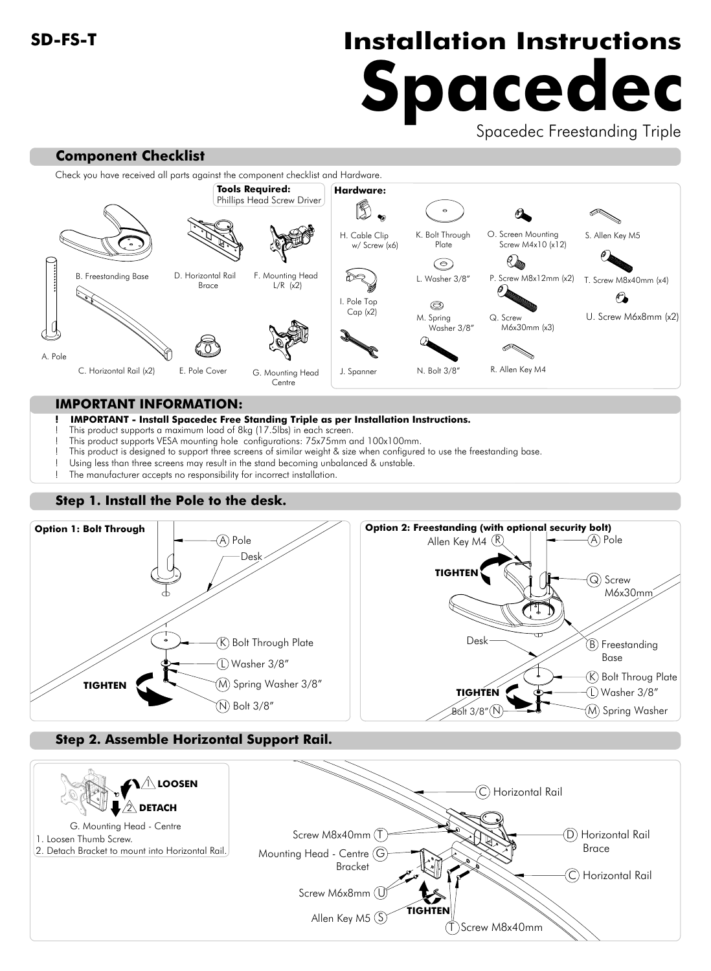# **SD-FS-T Installation Instructions Spacedec**

Spacedec Freestanding Triple



### **IMPORTANT INFORMATION:**

#### **! IMPORTANT - Install Spacedec Free Standing Triple as per Installation Instructions.**

- This product supports a maximum load of 8kg (17.5lbs) in each screen.
- This product supports VESA mounting hole configurations: 75x75mm and 100x100mm.
- This product is designed to support three screens of similar weight & size when configured to use the freestanding base.
- Using less than three screens may result in the stand becoming unbalanced & unstable.
- The manufacturer accepts no responsibility for incorrect installation.

# **Step 1. Install the Pole to the desk.**



## **Step 2. Assemble Horizontal Support Rail.**